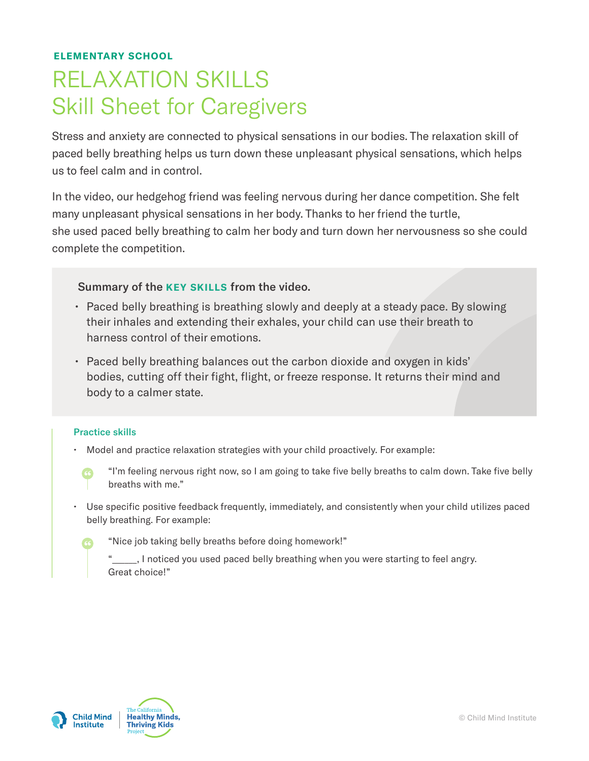### ELEMENTARY SCHOOL

# RELAXATION SKILLS Skill Sheet for Caregivers

Stress and anxiety are connected to physical sensations in our bodies. The relaxation skill of paced belly breathing helps us turn down these unpleasant physical sensations, which helps us to feel calm and in control.

In the video, our hedgehog friend was feeling nervous during her dance competition. She felt many unpleasant physical sensations in her body. Thanks to her friend the turtle, she used paced belly breathing to calm her body and turn down her nervousness so she could complete the competition.

#### Summary of the KEY SKILLS from the video.

- Paced belly breathing is breathing slowly and deeply at a steady pace. By slowing their inhales and extending their exhales, your child can use their breath to harness control of their emotions.
- Paced belly breathing balances out the carbon dioxide and oxygen in kids' bodies, cutting off their fight, flight, or freeze response. It returns their mind and body to a calmer state.

#### Practice skills

- Model and practice relaxation strategies with your child proactively. For example:
	- " "I'm feeling nervous right now, so I am going to take five belly breaths to calm down. Take five belly breaths with me."
- Use specific positive feedback frequently, immediately, and consistently when your child utilizes paced belly breathing. For example:
	- "Nice job taking belly breaths before doing homework!"
		- "\_\_\_\_\_\_, I noticed you used paced belly breathing when you were starting to feel angry. Great choice!"



"

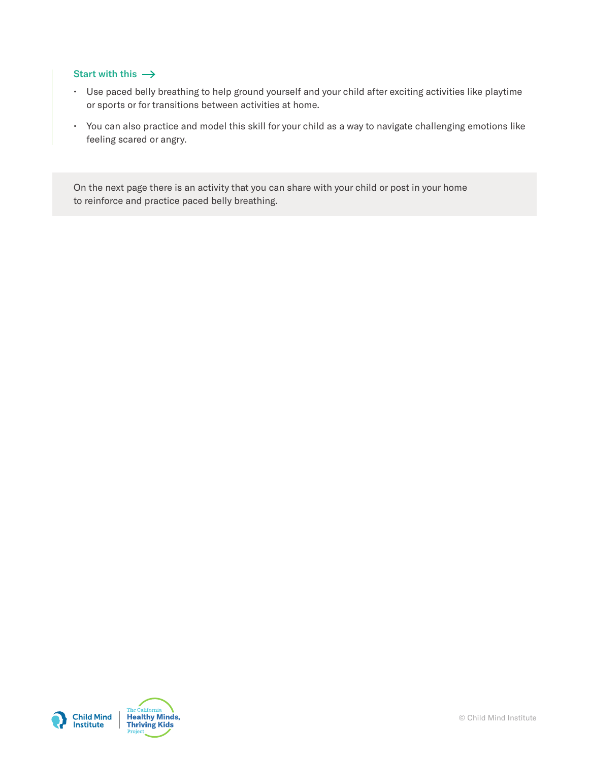#### Start with this  $\rightarrow$

- Use paced belly breathing to help ground yourself and your child after exciting activities like playtime or sports or for transitions between activities at home.
- You can also practice and model this skill for your child as a way to navigate challenging emotions like feeling scared or angry.

On the next page there is an activity that you can share with your child or post in your home to reinforce and practice paced belly breathing.